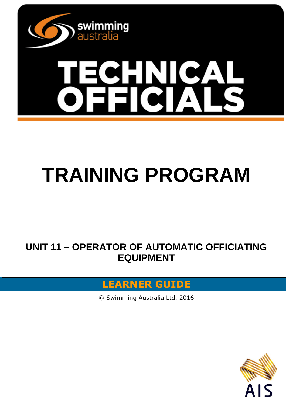

# **TRAINING PROGRAM**

**UNIT 11 – OPERATOR OF AUTOMATIC OFFICIATING EQUIPMENT** 

**LEARNER GUIDE**

© Swimming Australia Ltd. 2016

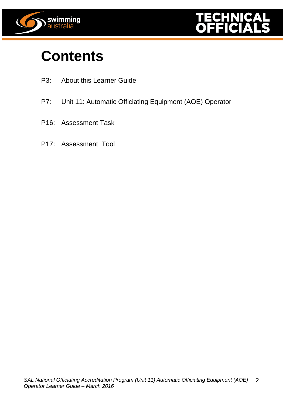



# **Contents**

- P3: About this Learner Guide
- P7: Unit 11: Automatic Officiating Equipment (AOE) Operator
- P16: Assessment Task
- P17: Assessment Tool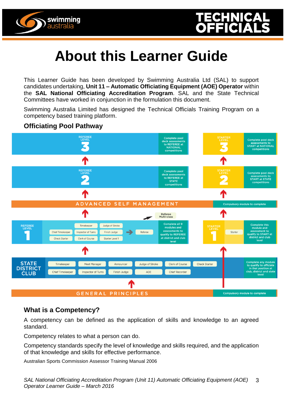



# **About this Learner Guide**

This Learner Guide has been developed by Swimming Australia Ltd (SAL) to support candidates undertaking, **Unit 11 – Automatic Officiating Equipment (AOE) Operator** within the **SAL National Officiating Accreditation Program**. SAL and the State Technical Committees have worked in conjunction in the formulation this document.

Swimming Australia Limited has designed the Technical Officials Training Program on a competency based training platform.

#### REFEREE Complete pool Complete pool deck eck assessment<br>to REFEREE a<mark>t</mark> assessments to<br>START at NATIONAL **NATIONAL** competitions competition REFEREE Complete pool leck assessments<br>to REFEREE at assessments to<br>START at STATE<br>competitions **STATE** competitions 4 ADVANCED SELF MANAGEMENT Compulsory module to complete T Т Referee<br>Multi-class Complete all 9 Timekeeper Judge of Stroke modules and assessments to<br>qualify to REFEREE ssessment to<br>lify to START at Chief Timekeeper Inspector of Turns Referee Finish Judge  $\rightarrow$   $\rightarrow$ Starter at district and club district and club Check Starter Clerk of Course Starter Level 1 **STATE** Clerk of Course Timekeeper Meet Manager Announcer Judge of Stroke **Check Starter** to qualify to offic **DISTRICT** in that position at Chief Timekeeper Inspector of Turns Finish Judge AOE Chief Recorder club, district and state **CLUB GENERAL PRINCIPLES** Compulsory module to complete

#### **Officiating Pool Pathway**

#### **What is a Competency?**

A competency can be defined as the application of skills and knowledge to an agreed standard.

Competency relates to what a person can do.

Competency standards specify the level of knowledge and skills required, and the application of that knowledge and skills for effective performance.

Australian Sports Commission Assessor Training Manual 2006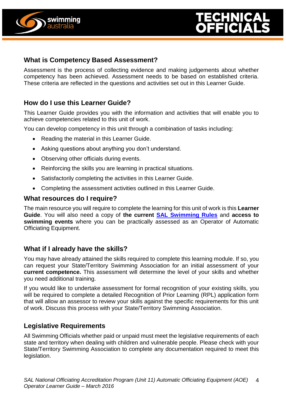



#### **What is Competency Based Assessment?**

Assessment is the process of collecting evidence and making judgements about whether competency has been achieved. Assessment needs to be based on established criteria. These criteria are reflected in the questions and activities set out in this Learner Guide.

#### **How do I use this Learner Guide?**

This Learner Guide provides you with the information and activities that will enable you to achieve competencies related to this unit of work.

You can develop competency in this unit through a combination of tasks including:

- Reading the material in this Learner Guide.
- Asking questions about anything you don't understand.
- Observing other officials during events.
- Reinforcing the skills you are learning in practical situations.
- Satisfactorily completing the activities in this Learner Guide.
- Completing the assessment activities outlined in this Learner Guide.

#### **What resources do I require?**

The main resource you will require to complete the learning for this unit of work is this **Learner Guide**. You will also need a copy of **the current SAL [Swimming Rules](http://www.swimming.org.au/visageimages/1_SAL/Rules/SAL%20Swimming%20Rules%20%20JAN%202014%20updated%2005.02.15.pdf)** and **access to swimming events** where you can be practically assessed as an Operator of Automatic Officiating Equipment.

#### **What if I already have the skills?**

You may have already attained the skills required to complete this learning module. If so, you can request your State/Territory Swimming Association for an initial assessment of your **current competence.** This assessment will determine the level of your skills and whether you need additional training.

If you would like to undertake assessment for formal recognition of your existing skills, you will be required to complete a detailed Recognition of Prior Learning (RPL) application form that will allow an assessor to review your skills against the specific requirements for this unit of work. Discuss this process with your State/Territory Swimming Association.

#### **Legislative Requirements**

All Swimming Officials whether paid or unpaid must meet the legislative requirements of each state and territory when dealing with children and vulnerable people. Please check with your State/Territory Swimming Association to complete any documentation required to meet this legislation.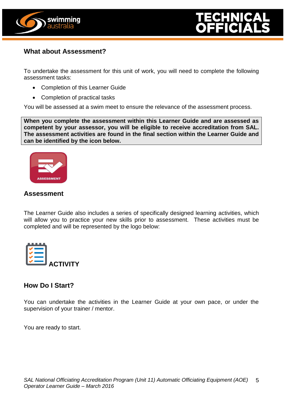



#### **What about Assessment?**

To undertake the assessment for this unit of work, you will need to complete the following assessment tasks:

- Completion of this Learner Guide
- Completion of practical tasks

You will be assessed at a swim meet to ensure the relevance of the assessment process.

**When you complete the assessment within this Learner Guide and are assessed as competent by your assessor, you will be eligible to receive accreditation from SAL. The assessment activities are found in the final section within the Learner Guide and can be identified by the icon below.**



#### **Assessment**

The Learner Guide also includes a series of specifically designed learning activities, which will allow you to practice your new skills prior to assessment. These activities must be completed and will be represented by the logo below:



#### **How Do I Start?**

You can undertake the activities in the Learner Guide at your own pace, or under the supervision of your trainer / mentor.

You are ready to start.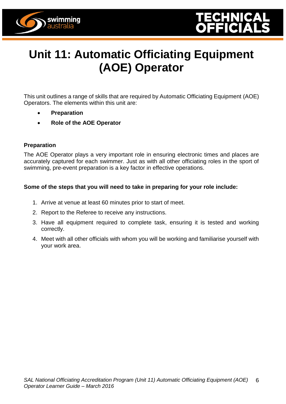



# **Unit 11: Automatic Officiating Equipment (AOE) Operator**

This unit outlines a range of skills that are required by Automatic Officiating Equipment (AOE) Operators. The elements within this unit are:

- **Preparation**
- **Role of the AOE Operator**

#### **Preparation**

The AOE Operator plays a very important role in ensuring electronic times and places are accurately captured for each swimmer. Just as with all other officiating roles in the sport of swimming, pre-event preparation is a key factor in effective operations.

#### **Some of the steps that you will need to take in preparing for your role include:**

- 1. Arrive at venue at least 60 minutes prior to start of meet.
- 2. Report to the Referee to receive any instructions.
- 3. Have all equipment required to complete task, ensuring it is tested and working correctly.
- 4. Meet with all other officials with whom you will be working and familiarise yourself with your work area.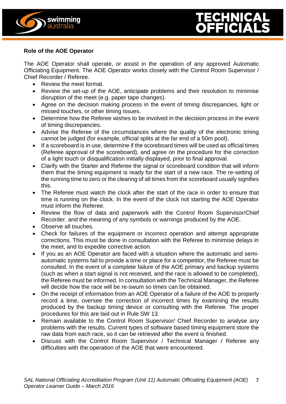

#### **Role of the AOE Operator**

The AOE Operator shall operate, or assist in the operation of any approved Automatic Officiating Equipment. The AOE Operator works closely with the Control Room Supervisor / Chief Recorder / Referee.

- Review the meet format.
- Review the set-up of the AOE, anticipate problems and their resolution to minimise disruption of the meet (e.g. paper tape changes).
- Agree on the decision making process in the event of timing discrepancies, light or missed touches, or other timing issues.
- Determine how the Referee wishes to be involved in the decision process in the event of timing discrepancies.
- Advise the Referee of the circumstances where the quality of the electronic timing cannot be judged (for example, official splits at the far end of a 50m pool).
- If a scoreboard is in use, determine if the scoreboard times will be used as official times (Referee approval of the scoreboard), and agree on the procedure for the correction of a light touch or disqualification initially displayed, prior to final approval.
- Clarify with the Starter and Referee the signal or scoreboard condition that will inform them that the timing equipment is ready for the start of a new race. The re-setting of the running time to zero or the clearing of all times from the scoreboard usually signifies this.
- The Referee must watch the clock after the start of the race in order to ensure that time is running on the clock. In the event of the clock not starting the AOE Operator must inform the Referee.
- Review the flow of data and paperwork with the Control Room Supervisor/Chief Recorder, and the meaning of any symbols or warnings produced by the AOE.
- Observe all touches.
- Check for failures of the equipment or incorrect operation and attempt appropriate corrections. This must be done in consultation with the Referee to minimise delays in the meet, and to expedite corrective action.
- If you as an AOE Operator are faced with a situation where the automatic and semiautomatic systems fail to provide a time or place for a competitor, the Referee must be consulted. In the event of a complete failure of the AOE primary and backup systems (such as when a start signal is not received, and the race is allowed to be completed), the Referee must be informed. In consultation with the Technical Manager, the Referee will decide how the race will be re-swum so times can be obtained.
- On the receipt of information from an AOE Operator of a failure of the AOE to properly record a time, oversee the correction of incorrect times by examining the results produced by the backup timing device or consulting with the Referee. The proper procedures for this are laid out in Rule SW 13.
- Remain available to the Control Room Supervisor/ Chief Recorder to analyse any problems with the results. Current types of software based timing equipment store the raw data from each race, so it can be retrieved after the event is finished.
- Discuss with the Control Room Supervisor / Technical Manager / Referee any difficulties with the operation of the AOE that were encountered.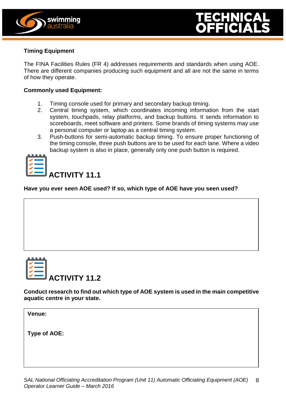



#### **Timing Equipment**

The FINA Facilities Rules (FR 4) addresses requirements and standards when using AOE. There are different companies producing such equipment and all are not the same in terms of how they operate.

#### **Commonly used Equipment:**

- 1. Timing console used for primary and secondary backup timing.<br>2. Central timing system, which coordinates incoming informat
- 2. Central timing system, which coordinates incoming information from the start system, touchpads, relay platforms, and backup buttons. It sends information to scoreboards, meet software and printers. Some brands of timing systems may use a personal computer or laptop as a central timing system.
- 3. Push-buttons for semi-automatic backup timing. To ensure proper functioning of the timing console, three push buttons are to be used for each lane. Where a video backup system is also in place, generally only one push button is required.



### **ACTIVITY 11.1**

**Have you ever seen AOE used? If so, which type of AOE have you seen used?**



**Conduct research to find out which type of AOE system is used in the main competitive aquatic centre in your state.**

**Venue:**

**Type of AOE:**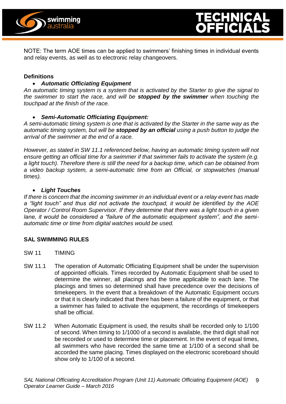

NOTE: The term AOE times can be applied to swimmers' finishing times in individual events and relay events, as well as to electronic relay changeovers.

#### **Definitions**

#### *Automatic Officiating Equipment*

*An automatic timing system is a system that is activated by the Starter to give the signal to the swimmer to start the race, and will be stopped by the swimmer when touching the touchpad at the finish of the race.*

#### *Semi-Automatic Officiating Equipment:*

*A semi-automatic timing system is one that is activated by the Starter in the same way as the automatic timing system, but will be stopped by an official using a push button to judge the arrival of the swimmer at the end of a race.*

*However, as stated in SW 11.1 referenced below, having an automatic timing system will not ensure getting an official time for a swimmer if that swimmer fails to activate the system (e.g. a light touch). Therefore there is still the need for a backup time, which can be obtained from a video backup system, a semi-automatic time from an Official, or stopwatches (manual times).*

#### *Light Touches*

*If there is concern that the incoming swimmer in an individual event or a relay event has made a "light touch" and thus did not activate the touchpad, it would be identified by the AOE Operator / Control Room Supervisor. If they determine that there was a light touch in a given lane, it would be considered a "failure of the automatic equipment system", and the semiautomatic time or time from digital watches would be used.*

#### **SAL SWIMMING RULES**

- SW 11 TIMING
- SW 11.1 The operation of Automatic Officiating Equipment shall be under the supervision of appointed officials. Times recorded by Automatic Equipment shall be used to determine the winner, all placings and the time applicable to each lane. The placings and times so determined shall have precedence over the decisions of timekeepers. In the event that a breakdown of the Automatic Equipment occurs or that it is clearly indicated that there has been a failure of the equipment, or that a swimmer has failed to activate the equipment, the recordings of timekeepers shall be official.
- SW 11.2 When Automatic Equipment is used, the results shall be recorded only to 1/100 of second. When timing to 1/1000 of a second is available, the third digit shall not be recorded or used to determine time or placement. In the event of equal times, all swimmers who have recorded the same time at 1/100 of a second shall be accorded the same placing. Times displayed on the electronic scoreboard should show only to 1/100 of a second.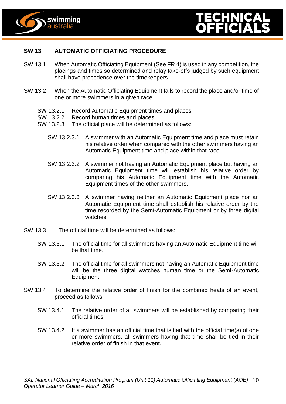



#### **SW 13 AUTOMATIC OFFICIATING PROCEDURE**

- SW 13.1 When Automatic Officiating Equipment (See FR 4) is used in any competition, the placings and times so determined and relay take-offs judged by such equipment shall have precedence over the timekeepers.
- SW 13.2 When the Automatic Officiating Equipment fails to record the place and/or time of one or more swimmers in a given race.
	- SW 13.2.1 Record Automatic Equipment times and places
	- SW 13.2.2 Record human times and places;
	- SW 13.2.3 The official place will be determined as follows:
		- SW 13.2.3.1 A swimmer with an Automatic Equipment time and place must retain his relative order when compared with the other swimmers having an Automatic Equipment time and place within that race.
		- SW 13.2.3.2 A swimmer not having an Automatic Equipment place but having an Automatic Equipment time will establish his relative order by comparing his Automatic Equipment time with the Automatic Equipment times of the other swimmers.
		- SW 13.2.3.3 A swimmer having neither an Automatic Equipment place nor an Automatic Equipment time shall establish his relative order by the time recorded by the Semi-Automatic Equipment or by three digital watches.
- SW 13.3 The official time will be determined as follows:
	- SW 13.3.1 The official time for all swimmers having an Automatic Equipment time will be that time.
	- SW 13.3.2 The official time for all swimmers not having an Automatic Equipment time will be the three digital watches human time or the Semi-Automatic Equipment.
- SW 13.4 To determine the relative order of finish for the combined heats of an event, proceed as follows:
	- SW 13.4.1 The relative order of all swimmers will be established by comparing their official times.
	- SW 13.4.2 If a swimmer has an official time that is tied with the official time(s) of one or more swimmers, all swimmers having that time shall be tied in their relative order of finish in that event.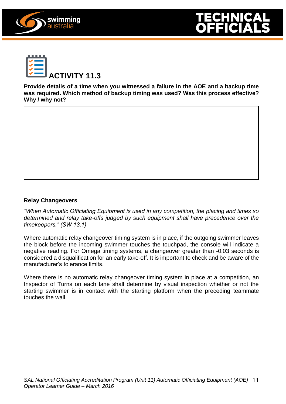





**Provide details of a time when you witnessed a failure in the AOE and a backup time was required. Which method of backup timing was used? Was this process effective? Why / why not?**

#### **Relay Changeovers**

*"When Automatic Officiating Equipment is used in any competition, the placing and times so determined and relay take-offs judged by such equipment shall have precedence over the timekeepers." (SW 13.1)*

Where automatic relay changeover timing system is in place, if the outgoing swimmer leaves the block before the incoming swimmer touches the touchpad, the console will indicate a negative reading. For Omega timing systems, a changeover greater than -0.03 seconds is considered a disqualification for an early take-off. It is important to check and be aware of the manufacturer's tolerance limits.

Where there is no automatic relay changeover timing system in place at a competition, an Inspector of Turns on each lane shall determine by visual inspection whether or not the starting swimmer is in contact with the starting platform when the preceding teammate touches the wall.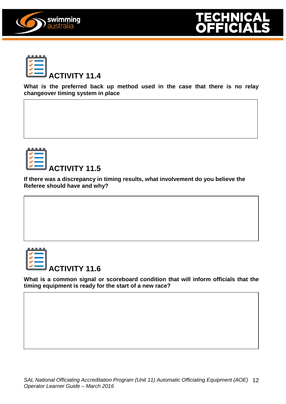





**What is the preferred back up method used in the case that there is no relay changeover timing system in place**



**If there was a discrepancy in timing results, what involvement do you believe the Referee should have and why?**



**What is a common signal or scoreboard condition that will inform officials that the timing equipment is ready for the start of a new race?**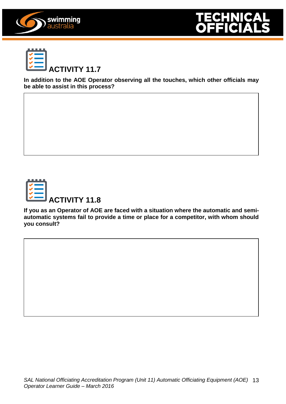





**In addition to the AOE Operator observing all the touches, which other officials may be able to assist in this process?**



**If you as an Operator of AOE are faced with a situation where the automatic and semiautomatic systems fail to provide a time or place for a competitor, with whom should you consult?**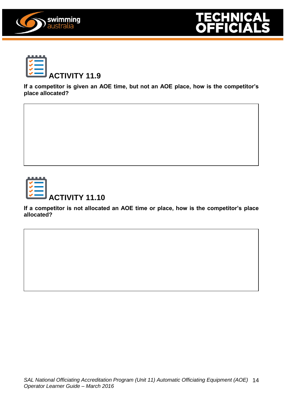





**If a competitor is given an AOE time, but not an AOE place, how is the competitor's place allocated?**



# **ACTIVITY 11.10**

**If a competitor is not allocated an AOE time or place, how is the competitor's place allocated?**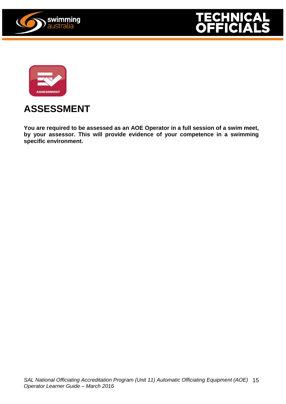





### **ASSESSMENT**

**You are required to be assessed as an AOE Operator in a full session of a swim meet, by your assessor. This will provide evidence of your competence in a swimming specific environment.**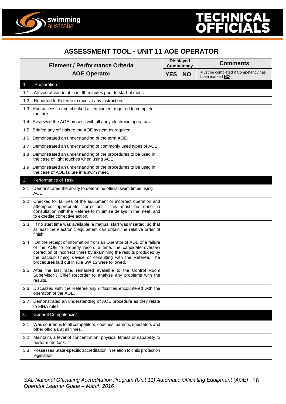



#### **ASSESSMENT TOOL - UNIT 11 AOE OPERATOR**

| <b>Element / Performance Criteria</b> |                                                                                                                                                                                                                                                                                                                             | <b>Displayed</b><br><b>Competency</b> |           | <b>Comments</b>                                       |  |
|---------------------------------------|-----------------------------------------------------------------------------------------------------------------------------------------------------------------------------------------------------------------------------------------------------------------------------------------------------------------------------|---------------------------------------|-----------|-------------------------------------------------------|--|
| <b>AOE Operator</b>                   |                                                                                                                                                                                                                                                                                                                             |                                       | <b>NO</b> | Must be completed if Competency has<br>been marked NO |  |
| 1.                                    | Preparation                                                                                                                                                                                                                                                                                                                 |                                       |           |                                                       |  |
| 1.1                                   | Arrived at venue at least 60 minutes prior to start of meet.                                                                                                                                                                                                                                                                |                                       |           |                                                       |  |
| 1.2                                   | Reported to Referee to receive any instruction.                                                                                                                                                                                                                                                                             |                                       |           |                                                       |  |
|                                       | 1.3 Had access to and checked all equipment required to complete<br>the task.                                                                                                                                                                                                                                               |                                       |           |                                                       |  |
|                                       | 1.4 Reviewed the AOE process with all / any electronic operators.                                                                                                                                                                                                                                                           |                                       |           |                                                       |  |
| 1.5                                   | Briefed any officials re the AOE system as required.                                                                                                                                                                                                                                                                        |                                       |           |                                                       |  |
| 1.6                                   | Demonstrated an understanding of the term AOE.                                                                                                                                                                                                                                                                              |                                       |           |                                                       |  |
| 1.7                                   | Demonstrated an understanding of commonly used types of AOE.                                                                                                                                                                                                                                                                |                                       |           |                                                       |  |
| 1.8                                   | Demonstrated an understanding of the procedures to be used in<br>the case of light touches when using AOE.                                                                                                                                                                                                                  |                                       |           |                                                       |  |
|                                       | 1.9 Demonstrated an understanding of the procedures to be used in<br>the case of AOE failure in a swim meet.                                                                                                                                                                                                                |                                       |           |                                                       |  |
| 2.                                    | Performance of Task                                                                                                                                                                                                                                                                                                         |                                       |           |                                                       |  |
| 2.1                                   | Demonstrated the ability to determine official swim times using<br>AOE.                                                                                                                                                                                                                                                     |                                       |           |                                                       |  |
|                                       | 2.2 Checked for failures of the equipment or incorrect operation and<br>attempted appropriate corrections. This must be done in<br>consultation with the Referee to minimise delays in the meet, and<br>to expedite corrective action.                                                                                      |                                       |           |                                                       |  |
| 2.3                                   | If no start time was available, a manual start was inserted, so that<br>at least the electronic equipment can obtain the relative order of<br>finish.                                                                                                                                                                       |                                       |           |                                                       |  |
| 2.4                                   | On the receipt of information from an Operator of AOE of a failure<br>of the AOE to properly record a time, the candidate oversaw<br>correction of incorrect times by examining the results produced by<br>the backup timing device or consulting with the Referee. The<br>procedures laid out in rule SW 13 were followed. |                                       |           |                                                       |  |
|                                       | 2.5 After the last race, remained available to the Control Room<br>Supervisor / Chief Recorder to analyse any problems with the<br>results.                                                                                                                                                                                 |                                       |           |                                                       |  |
| 2.6                                   | Discussed with the Referee any difficulties encountered with the<br>operation of the AOE.                                                                                                                                                                                                                                   |                                       |           |                                                       |  |
| 2.7                                   | Demonstrated an understanding of AOE procedure as they relate<br>to FINA rules.                                                                                                                                                                                                                                             |                                       |           |                                                       |  |
| 3.                                    | <b>General Competencies</b>                                                                                                                                                                                                                                                                                                 |                                       |           |                                                       |  |
| 3.1                                   | Was courteous to all competitors, coaches, parents, spectators and<br>other officials at all times.                                                                                                                                                                                                                         |                                       |           |                                                       |  |
| 3.2                                   | Maintains a level of concentration, physical fitness or capability to<br>perform the task.                                                                                                                                                                                                                                  |                                       |           |                                                       |  |
| 3.3                                   | Possesses State-specific accreditation in relation to child protection<br>legislation.                                                                                                                                                                                                                                      |                                       |           |                                                       |  |